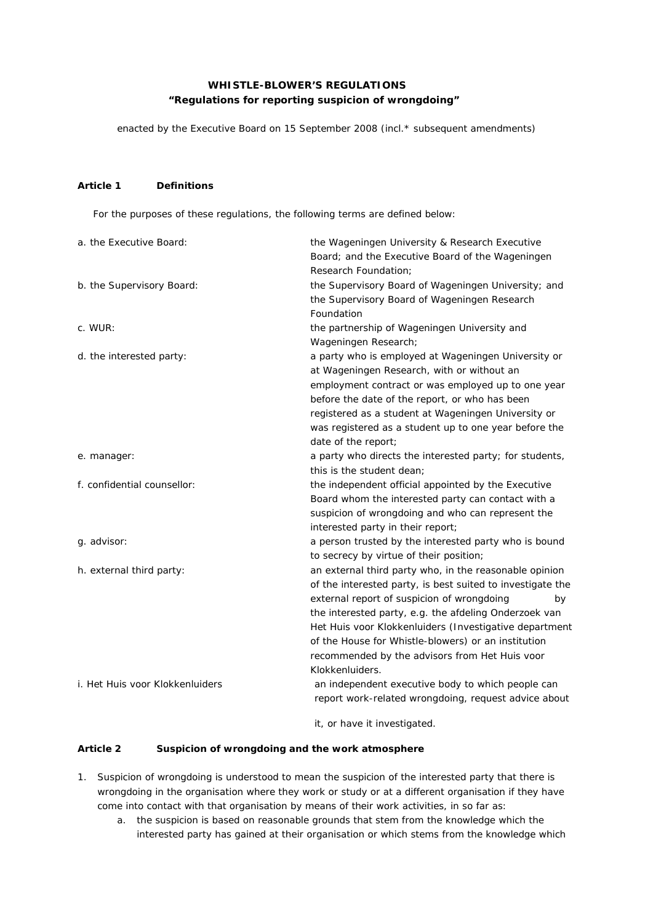# **WHISTLE-BLOWER'S REGULATIONS "Regulations for reporting suspicion of wrongdoing"**

enacted by the Executive Board on 15 September 2008 (incl.\* subsequent amendments)

## **Article 1 Definitions**

For the purposes of these regulations, the following terms are defined below:

| a. the Executive Board:         | the Wageningen University & Research Executive                                                                       |
|---------------------------------|----------------------------------------------------------------------------------------------------------------------|
|                                 | Board; and the Executive Board of the Wageningen<br>Research Foundation;                                             |
| b. the Supervisory Board:       | the Supervisory Board of Wageningen University; and                                                                  |
|                                 | the Supervisory Board of Wageningen Research                                                                         |
|                                 | Foundation                                                                                                           |
| c. WUR:                         | the partnership of Wageningen University and                                                                         |
|                                 | Wageningen Research;                                                                                                 |
| d. the interested party:        | a party who is employed at Wageningen University or                                                                  |
|                                 | at Wageningen Research, with or without an                                                                           |
|                                 | employment contract or was employed up to one year                                                                   |
|                                 | before the date of the report, or who has been                                                                       |
|                                 | registered as a student at Wageningen University or                                                                  |
|                                 | was registered as a student up to one year before the                                                                |
|                                 | date of the report;                                                                                                  |
| e. manager:                     | a party who directs the interested party; for students,                                                              |
|                                 | this is the student dean:                                                                                            |
| f. confidential counsellor:     | the independent official appointed by the Executive                                                                  |
|                                 | Board whom the interested party can contact with a                                                                   |
|                                 | suspicion of wrongdoing and who can represent the                                                                    |
|                                 | interested party in their report;                                                                                    |
| g. advisor:                     | a person trusted by the interested party who is bound                                                                |
|                                 | to secrecy by virtue of their position;                                                                              |
| h. external third party:        | an external third party who, in the reasonable opinion<br>of the interested party, is best suited to investigate the |
|                                 | external report of suspicion of wrongdoing<br>by                                                                     |
|                                 | the interested party, e.g. the afdeling Onderzoek van                                                                |
|                                 | Het Huis voor Klokkenluiders (Investigative department                                                               |
|                                 | of the House for Whistle-blowers) or an institution                                                                  |
|                                 | recommended by the advisors from Het Huis voor                                                                       |
|                                 | Klokkenluiders.                                                                                                      |
| i. Het Huis voor Klokkenluiders | an independent executive body to which people can                                                                    |
|                                 | report work-related wrongdoing, request advice about                                                                 |
|                                 | it, or have it investigated.                                                                                         |

## **Article 2 Suspicion of wrongdoing and the work atmosphere**

- 1. Suspicion of wrongdoing is understood to mean the suspicion of the interested party that there is wrongdoing in the organisation where they work or study or at a different organisation if they have come into contact with that organisation by means of their work activities, in so far as:
	- a. the suspicion is based on reasonable grounds that stem from the knowledge which the interested party has gained at their organisation or which stems from the knowledge which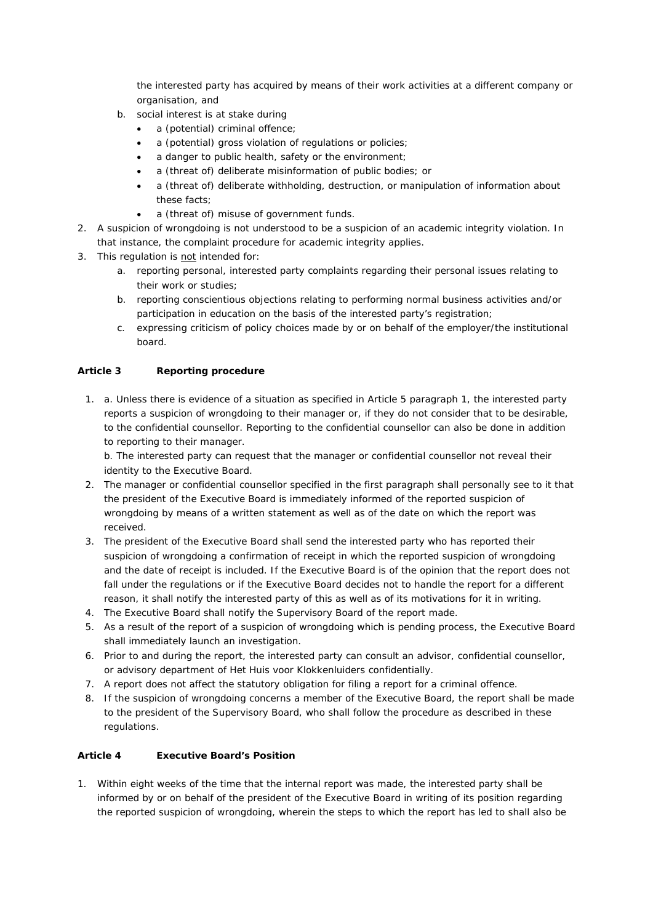the interested party has acquired by means of their work activities at a different company or organisation, and

- b. social interest is at stake during
	- a (potential) criminal offence:
	- a (potential) gross violation of regulations or policies;
	- a danger to public health, safety or the environment;
	- a (threat of) deliberate misinformation of public bodies; or
	- a (threat of) deliberate withholding, destruction, or manipulation of information about these facts;
	- a (threat of) misuse of government funds.
- 2. A suspicion of wrongdoing is not understood to be a suspicion of an academic integrity violation. In that instance, the complaint procedure for academic integrity applies.
- 3. This regulation is not intended for:
	- a. reporting personal, interested party complaints regarding their personal issues relating to their work or studies;
	- b. reporting conscientious objections relating to performing normal business activities and/or participation in education on the basis of the interested party's registration;
	- c. expressing criticism of policy choices made by or on behalf of the employer/the institutional board.

## **Article 3 Reporting procedure**

1. a. Unless there is evidence of a situation as specified in Article 5 paragraph 1, the interested party reports a suspicion of wrongdoing to their manager or, if they do not consider that to be desirable, to the confidential counsellor. Reporting to the confidential counsellor can also be done in addition to reporting to their manager.

b. The interested party can request that the manager or confidential counsellor not reveal their identity to the Executive Board.

- 2. The manager or confidential counsellor specified in the first paragraph shall personally see to it that the president of the Executive Board is immediately informed of the reported suspicion of wrongdoing by means of a written statement as well as of the date on which the report was received.
- 3. The president of the Executive Board shall send the interested party who has reported their suspicion of wrongdoing a confirmation of receipt in which the reported suspicion of wrongdoing and the date of receipt is included. If the Executive Board is of the opinion that the report does not fall under the regulations or if the Executive Board decides not to handle the report for a different reason, it shall notify the interested party of this as well as of its motivations for it in writing.
- 4. The Executive Board shall notify the Supervisory Board of the report made.
- 5. As a result of the report of a suspicion of wrongdoing which is pending process, the Executive Board shall immediately launch an investigation.
- 6. Prior to and during the report, the interested party can consult an advisor, confidential counsellor, or advisory department of *Het Huis voor Klokkenluiders* confidentially.
- 7. A report does not affect the statutory obligation for filing a report for a criminal offence.
- 8. If the suspicion of wrongdoing concerns a member of the Executive Board, the report shall be made to the president of the Supervisory Board, who shall follow the procedure as described in these regulations.

### **Article 4 Executive Board's Position**

1. Within eight weeks of the time that the internal report was made, the interested party shall be informed by or on behalf of the president of the Executive Board in writing of its position regarding the reported suspicion of wrongdoing, wherein the steps to which the report has led to shall also be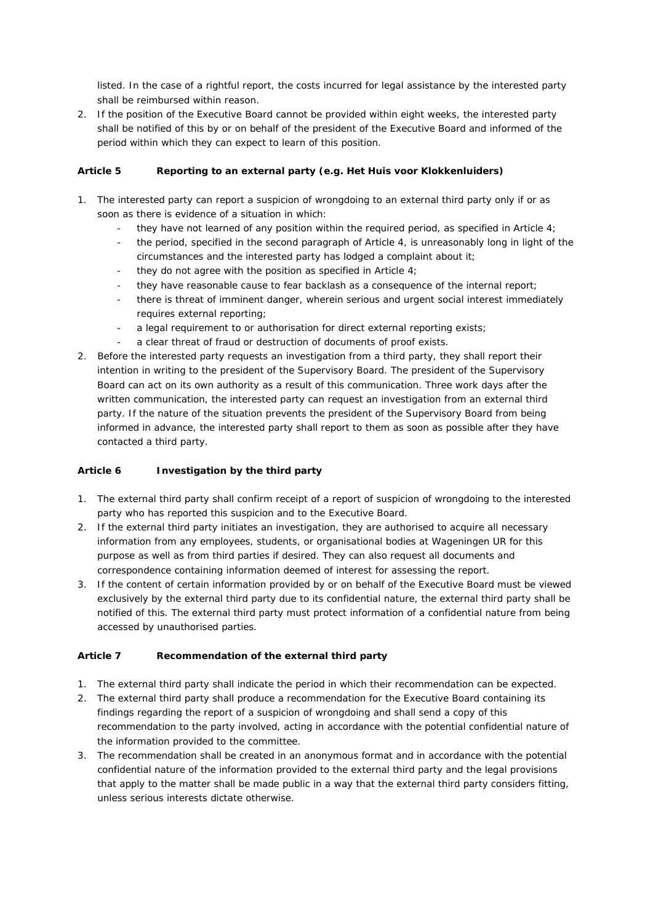listed. In the case of a rightful report, the costs incurred for legal assistance by the interested party shall be reimbursed within reason.

2. If the position of the Executive Board cannot be provided within eight weeks, the interested party shall be notified of this by or on behalf of the president of the Executive Board and informed of the period within which they can expect to learn of this position.

## **Article 5 Reporting to an external party (e.g.** *Het Huis voor Klokkenluiders***)**

- 1. The interested party can report a suspicion of wrongdoing to an external third party only if or as soon as there is evidence of a situation in which:
	- they have not learned of any position within the required period, as specified in Article  $4$ ;
	- the period, specified in the second paragraph of Article 4, is unreasonably long in light of the circumstances and the interested party has lodged a complaint about it;
	- they do not agree with the position as specified in Article  $4$ ;
	- they have reasonable cause to fear backlash as a consequence of the internal report;
	- there is threat of imminent danger, wherein serious and urgent social interest immediately requires external reporting;
	- a legal requirement to or authorisation for direct external reporting exists;
	- a clear threat of fraud or destruction of documents of proof exists.
- 2. Before the interested party requests an investigation from a third party, they shall report their intention in writing to the president of the Supervisory Board. The president of the Supervisory Board can act on its own authority as a result of this communication. Three work days after the written communication, the interested party can request an investigation from an external third party. If the nature of the situation prevents the president of the Supervisory Board from being informed in advance, the interested party shall report to them as soon as possible after they have contacted a third party.

#### **Article 6 Investigation by the third party**

- 1. The external third party shall confirm receipt of a report of suspicion of wrongdoing to the interested party who has reported this suspicion and to the Executive Board.
- 2. If the external third party initiates an investigation, they are authorised to acquire all necessary information from any employees, students, or organisational bodies at Wageningen UR for this purpose as well as from third parties if desired. They can also request all documents and correspondence containing information deemed of interest for assessing the report.
- 3. If the content of certain information provided by or on behalf of the Executive Board must be viewed exclusively by the external third party due to its confidential nature, the external third party shall be notified of this. The external third party must protect information of a confidential nature from being accessed by unauthorised parties.

#### **Article 7 Recommendation of the external third party**

- 1. The external third party shall indicate the period in which their recommendation can be expected.
- 2. The external third party shall produce a recommendation for the Executive Board containing its findings regarding the report of a suspicion of wrongdoing and shall send a copy of this recommendation to the party involved, acting in accordance with the potential confidential nature of the information provided to the committee.
- 3. The recommendation shall be created in an anonymous format and in accordance with the potential confidential nature of the information provided to the external third party and the legal provisions that apply to the matter shall be made public in a way that the external third party considers fitting, unless serious interests dictate otherwise.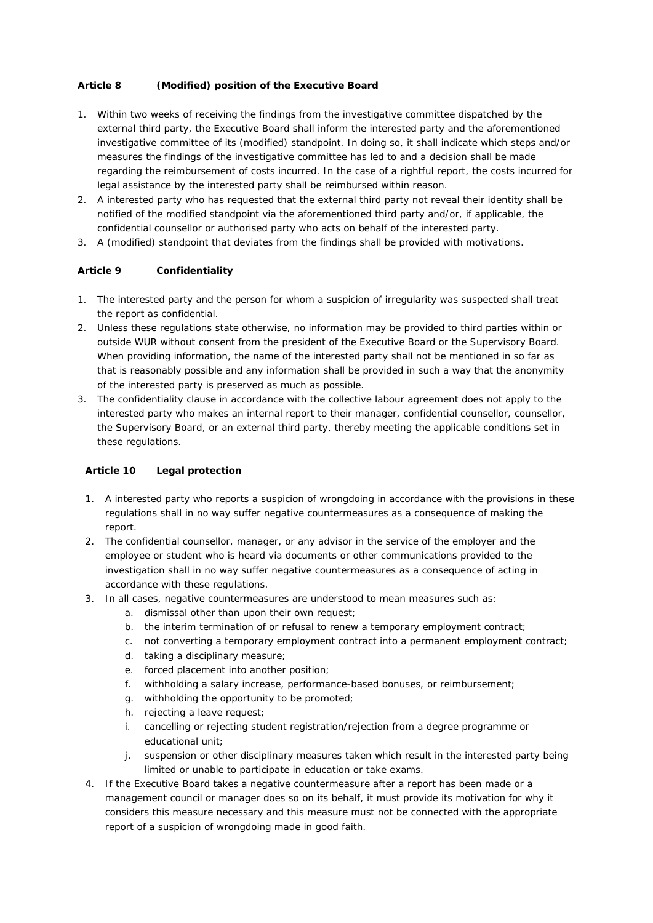## **Article 8 (Modified) position of the Executive Board**

- 1. Within two weeks of receiving the findings from the investigative committee dispatched by the external third party, the Executive Board shall inform the interested party and the aforementioned investigative committee of its (modified) standpoint. In doing so, it shall indicate which steps and/or measures the findings of the investigative committee has led to and a decision shall be made regarding the reimbursement of costs incurred. In the case of a rightful report, the costs incurred for legal assistance by the interested party shall be reimbursed within reason.
- 2. A interested party who has requested that the external third party not reveal their identity shall be notified of the modified standpoint via the aforementioned third party and/or, if applicable, the confidential counsellor or authorised party who acts on behalf of the interested party.
- 3. A (modified) standpoint that deviates from the findings shall be provided with motivations.

## **Article 9 Confidentiality**

- 1. The interested party and the person for whom a suspicion of irregularity was suspected shall treat the report as confidential.
- 2. Unless these regulations state otherwise, no information may be provided to third parties within or outside WUR without consent from the president of the Executive Board or the Supervisory Board. When providing information, the name of the interested party shall not be mentioned in so far as that is reasonably possible and any information shall be provided in such a way that the anonymity of the interested party is preserved as much as possible.
- 3. The confidentiality clause in accordance with the collective labour agreement does not apply to the interested party who makes an internal report to their manager, confidential counsellor, counsellor, the Supervisory Board, or an external third party, thereby meeting the applicable conditions set in these regulations.

## **Article 10 Legal protection**

- 1. A interested party who reports a suspicion of wrongdoing in accordance with the provisions in these regulations shall in no way suffer negative countermeasures as a consequence of making the report.
- 2. The confidential counsellor, manager, or any advisor in the service of the employer and the employee or student who is heard via documents or other communications provided to the investigation shall in no way suffer negative countermeasures as a consequence of acting in accordance with these regulations.
- 3. In all cases, negative countermeasures are understood to mean measures such as:
	- a. dismissal other than upon their own request;
	- b. the interim termination of or refusal to renew a temporary employment contract;
	- c. not converting a temporary employment contract into a permanent employment contract;
	- d. taking a disciplinary measure;
	- e. forced placement into another position;
	- f. withholding a salary increase, performance-based bonuses, or reimbursement;
	- g. withholding the opportunity to be promoted;
	- h. rejecting a leave request;
	- i. cancelling or rejecting student registration/rejection from a degree programme or educational unit;
	- j. suspension or other disciplinary measures taken which result in the interested party being limited or unable to participate in education or take exams.
- 4. If the Executive Board takes a negative countermeasure after a report has been made or a management council or manager does so on its behalf, it must provide its motivation for why it considers this measure necessary and this measure must not be connected with the appropriate report of a suspicion of wrongdoing made in good faith.